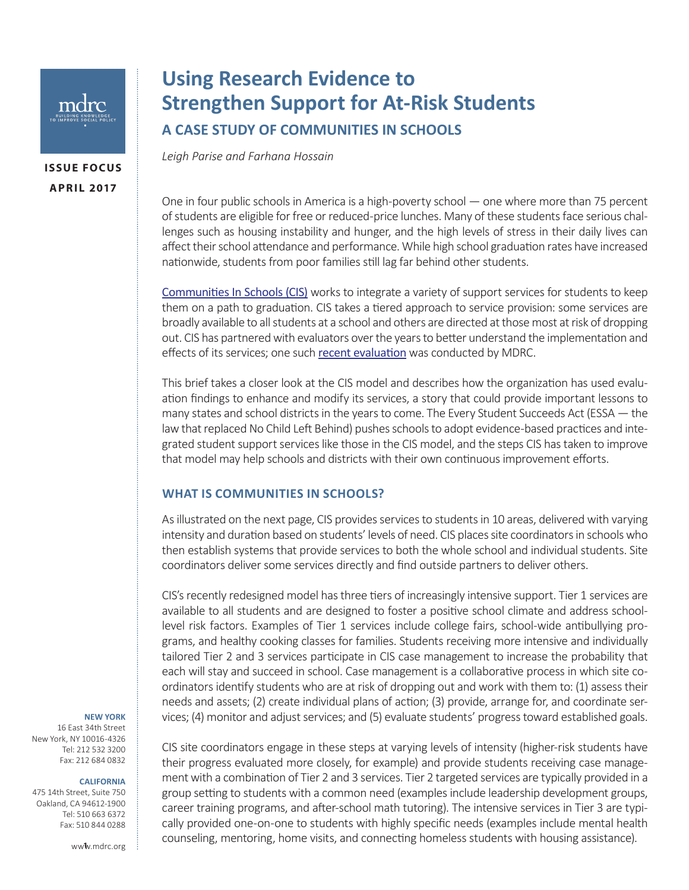

**ISSUE FOCUS APRIL 2017**

# **Using Research Evidence to Strengthen Support for At-Risk Students A CASE STUDY OF COMMUNITIES IN SCHOOLS**

*Leigh Parise and Farhana Hossain*

One in four public schools in America is a high-poverty school — one where more than 75 percent of students are eligible for free or reduced-price lunches. Many of these students face serious challenges such as housing instability and hunger, and the high levels of stress in their daily lives can affect their school attendance and performance. While high school graduation rates have increased nationwide, students from poor families still lag far behind other students.

[Communities In Schools](https://www.communitiesinschools.org) (CIS) works to integrate a variety of support services for students to keep them on a path to graduation. CIS takes a tiered approach to service provision: some services are broadly available to all students at a school and others are directed at those most at risk of dropping out. CIS has partnered with evaluators over the years to better understand the implementation and effects of its services; one such [recent evaluation](file:///C:\Users\hossain\Desktop\CIS Issue Focus\link) was conducted by MDRC.

This brief takes a closer look at the CIS model and describes how the organization has used evaluation findings to enhance and modify its services, a story that could provide important lessons to many states and school districts in the years to come. The Every Student Succeeds Act (ESSA — the law that replaced No Child Left Behind) pushes schools to adopt evidence-based practices and integrated student support services like those in the CIS model, and the steps CIS has taken to improve that model may help schools and districts with their own continuous improvement efforts.

#### **WHAT IS COMMUNITIES IN SCHOOLS?**

As illustrated on the next page, CIS provides services to students in 10 areas, delivered with varying intensity and duration based on students' levels of need. CIS places site coordinators in schools who then establish systems that provide services to both the whole school and individual students. Site coordinators deliver some services directly and find outside partners to deliver others.

CIS's recently redesigned model has three tiers of increasingly intensive support. Tier 1 services are available to all students and are designed to foster a positive school climate and address schoollevel risk factors. Examples of Tier 1 services include college fairs, school-wide antibullying programs, and healthy cooking classes for families. Students receiving more intensive and individually tailored Tier 2 and 3 services participate in CIS case management to increase the probability that each will stay and succeed in school. Case management is a collaborative process in which site coordinators identify students who are at risk of dropping out and work with them to: (1) assess their needs and assets; (2) create individual plans of action; (3) provide, arrange for, and coordinate services; (4) monitor and adjust services; and (5) evaluate students' progress toward established goals.

#### **NEW YORK**

16 East 34th Street New York, NY 10016-4326 Tel: 212 532 3200 Fax: 212 684 0832

#### **CALIFORNIA**

475 14th Street, Suite 750 Oakland, CA 94612-1900 Tel: 510 663 6372 Fax: 510 844 0288

CIS site coordinators engage in these steps at varying levels of intensity (higher-risk students have their progress evaluated more closely, for example) and provide students receiving case management with a combination of Tier 2 and 3 services. Tier 2 targeted services are typically provided in a group setting to students with a common need (examples include leadership development groups, career training programs, and after-school math tutoring). The intensive services in Tier 3 are typically provided one-on-one to students with highly specific needs (examples include mental health counseling, mentoring, home visits, and connecting homeless students with housing assistance).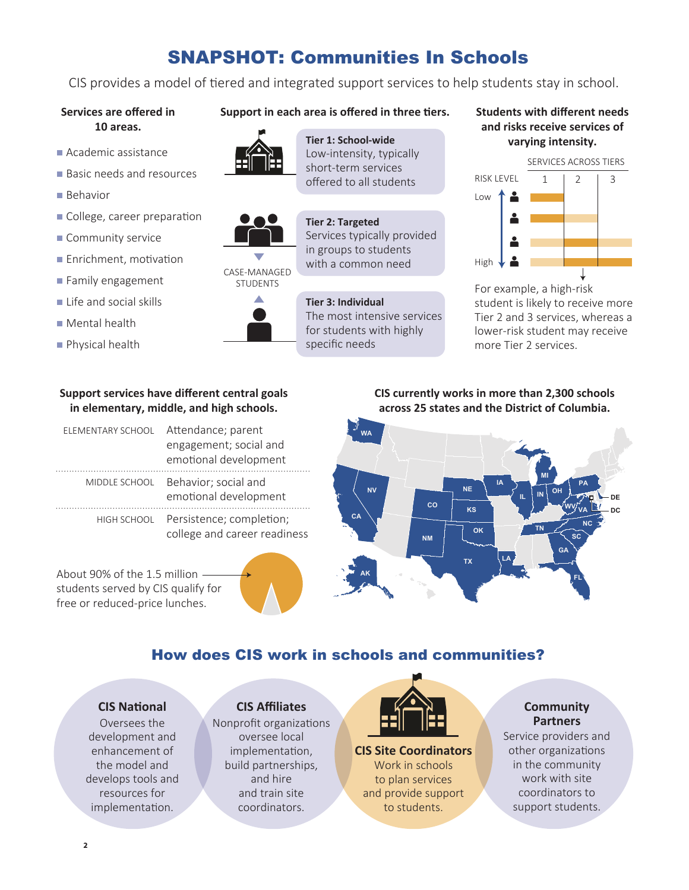# SNAPSHOT: Communities In Schools

CIS provides a model of tiered and integrated support services to help students stay in school.

#### **Services are offered in 10 areas.**

- 
- **Basic needs and resources**
- **Behavior**
- College, career preparation
- Community service
- **Enrichment, motivation**
- **Family engagement**
- **Life and social skills**
- **Mental health**
- **Physical health**

# **Support in each area is offered in three tiers. Students with different needs**



**varying intensity.**<br>Academic assistance **Contract Contract Contract Contract Contract Contract Contract Contract Contract Contract Contract Contract Contract Contract Contract Contract Contract Contract Contract Contract** short-term services offered to all students

**Tier 2: Targeted**

**Tier 1: School-wide** 



CASE-MANAGED **STUDENTS** 



Services typically provided in groups to students with a common need **Tier 3: Individual**

The most intensive services for students with highly specific needs

# **and risks receive services of**



For example, a high-risk student is likely to receive more Tier 2 and 3 services, whereas a lower-risk student may receive more Tier 2 services.

### **Support services have different central goals in elementary, middle, and high schools.**

| ELEMENTARY SCHOOL | Attendance; parent<br>engagement; social and<br>emotional development |
|-------------------|-----------------------------------------------------------------------|
| MIDDLE SCHOOL     | Behavior; social and<br>emotional development                         |
| HIGH SCHOOL       | Persistence; completion;<br>college and career readiness              |

About 90% of the 1.5 million students served by CIS qualify for free or reduced-price lunches.

**CIS currently works in more than 2,300 schools across 25 states and the District of Columbia.**



# How does CIS work in schools and communities?

## **CIS National**

Oversees the development and enhancement of the model and develops tools and resources for implementation.

# **CIS Affiliates**

Nonprofit organizations oversee local implementation, build partnerships, and hire and train site coordinators.



**CIS Site Coordinators** Work in schools to plan services and provide support to students.

# **Community Partners**

Service providers and other organizations in the community work with site coordinators to support students.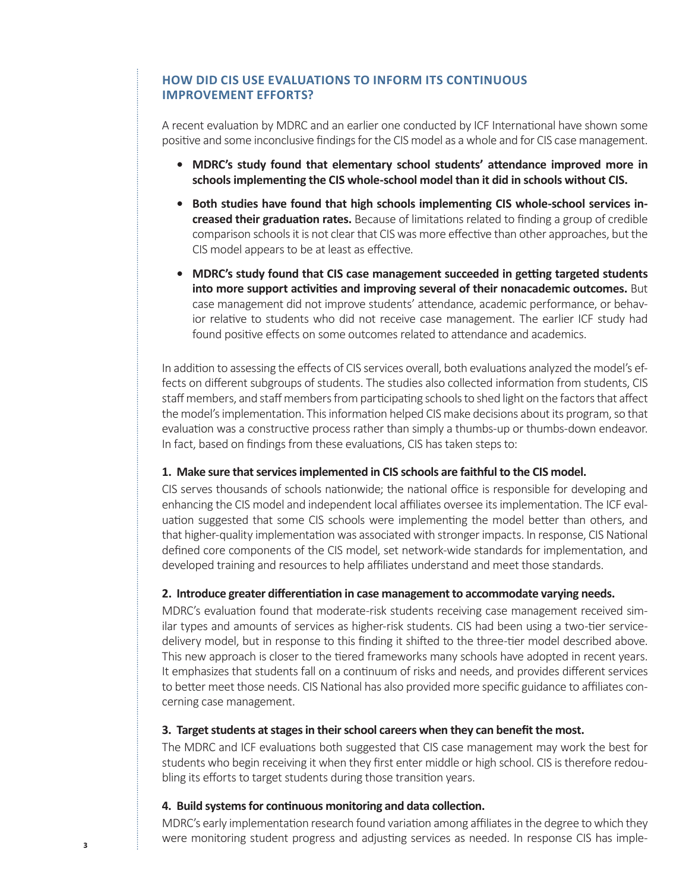# **HOW DID CIS USE EVALUATIONS TO INFORM ITS CONTINUOUS IMPROVEMENT EFFORTS?**

A recent evaluation by MDRC and an earlier one conducted by ICF International have shown some positive and some inconclusive findings for the CIS model as a whole and for CIS case management.

- **• MDRC's study found that elementary school students' attendance improved more in schools implementing the CIS whole-school model than it did in schools without CIS.**
- **• Both studies have found that high schools implementing CIS whole-school services increased their graduation rates.** Because of limitations related to finding a group of credible comparison schools it is not clear that CIS was more effective than other approaches, but the CIS model appears to be at least as effective.
- **• MDRC's study found that CIS case management succeeded in getting targeted students into more support activities and improving several of their nonacademic outcomes.** But case management did not improve students' attendance, academic performance, or behavior relative to students who did not receive case management. The earlier ICF study had found positive effects on some outcomes related to attendance and academics.

In addition to assessing the effects of CIS services overall, both evaluations analyzed the model's effects on different subgroups of students. The studies also collected information from students, CIS staff members, and staff members from participating schools to shed light on the factors that affect the model's implementation. This information helped CIS make decisions about its program, so that evaluation was a constructive process rather than simply a thumbs-up or thumbs-down endeavor. In fact, based on findings from these evaluations, CIS has taken steps to:

#### **1. Make sure that services implemented in CIS schools are faithful to the CIS model.**

CIS serves thousands of schools nationwide; the national office is responsible for developing and enhancing the CIS model and independent local affiliates oversee its implementation. The ICF evaluation suggested that some CIS schools were implementing the model better than others, and that higher-quality implementation was associated with stronger impacts. In response, CIS National defined core components of the CIS model, set network-wide standards for implementation, and developed training and resources to help affiliates understand and meet those standards.

## **2. Introduce greater differentiation in case management to accommodate varying needs.**

MDRC's evaluation found that moderate-risk students receiving case management received similar types and amounts of services as higher-risk students. CIS had been using a two-tier servicedelivery model, but in response to this finding it shifted to the three-tier model described above. This new approach is closer to the tiered frameworks many schools have adopted in recent years. It emphasizes that students fall on a continuum of risks and needs, and provides different services to better meet those needs. CIS National has also provided more specific guidance to affiliates concerning case management.

#### **3. Target students at stages in their school careers when they can benefit the most.**

The MDRC and ICF evaluations both suggested that CIS case management may work the best for students who begin receiving it when they first enter middle or high school. CIS is therefore redoubling its efforts to target students during those transition years.

#### **4. Build systems for continuous monitoring and data collection.**

MDRC's early implementation research found variation among affiliates in the degree to which they were monitoring student progress and adjusting services as needed. In response CIS has imple